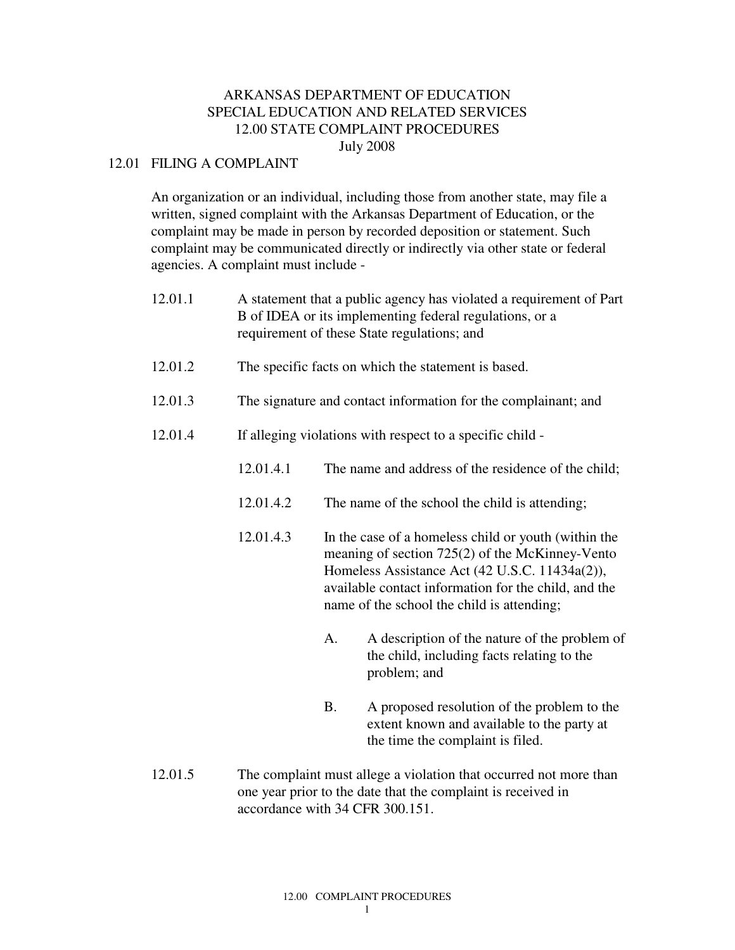# ARKANSAS DEPARTMENT OF EDUCATION SPECIAL EDUCATION AND RELATED SERVICES 12.00 STATE COMPLAINT PROCEDURES July 2008

### 12.01 FILING A COMPLAINT

An organization or an individual, including those from another state, may file a written, signed complaint with the Arkansas Department of Education, or the complaint may be made in person by recorded deposition or statement. Such complaint may be communicated directly or indirectly via other state or federal agencies. A complaint must include -

| 12.01.1 | A statement that a public agency has violated a requirement of Part<br>B of IDEA or its implementing federal regulations, or a<br>requirement of these State regulations; and |                                                                                                                                                                                                                                                                                                                   |                                                                                                                               |
|---------|-------------------------------------------------------------------------------------------------------------------------------------------------------------------------------|-------------------------------------------------------------------------------------------------------------------------------------------------------------------------------------------------------------------------------------------------------------------------------------------------------------------|-------------------------------------------------------------------------------------------------------------------------------|
| 12.01.2 | The specific facts on which the statement is based.                                                                                                                           |                                                                                                                                                                                                                                                                                                                   |                                                                                                                               |
| 12.01.3 | The signature and contact information for the complainant; and                                                                                                                |                                                                                                                                                                                                                                                                                                                   |                                                                                                                               |
| 12.01.4 | If alleging violations with respect to a specific child -                                                                                                                     |                                                                                                                                                                                                                                                                                                                   |                                                                                                                               |
|         | 12.01.4.1                                                                                                                                                                     |                                                                                                                                                                                                                                                                                                                   | The name and address of the residence of the child;                                                                           |
|         | 12.01.4.2                                                                                                                                                                     | The name of the school the child is attending;<br>In the case of a homeless child or youth (within the<br>meaning of section 725(2) of the McKinney-Vento<br>Homeless Assistance Act (42 U.S.C. 11434a(2)),<br>available contact information for the child, and the<br>name of the school the child is attending; |                                                                                                                               |
|         | 12.01.4.3                                                                                                                                                                     |                                                                                                                                                                                                                                                                                                                   |                                                                                                                               |
|         |                                                                                                                                                                               | A.                                                                                                                                                                                                                                                                                                                | A description of the nature of the problem of<br>the child, including facts relating to the<br>problem; and                   |
|         |                                                                                                                                                                               | <b>B.</b>                                                                                                                                                                                                                                                                                                         | A proposed resolution of the problem to the<br>extent known and available to the party at<br>the time the complaint is filed. |

12.01.5 The complaint must allege a violation that occurred not more than one year prior to the date that the complaint is received in accordance with 34 CFR 300.151.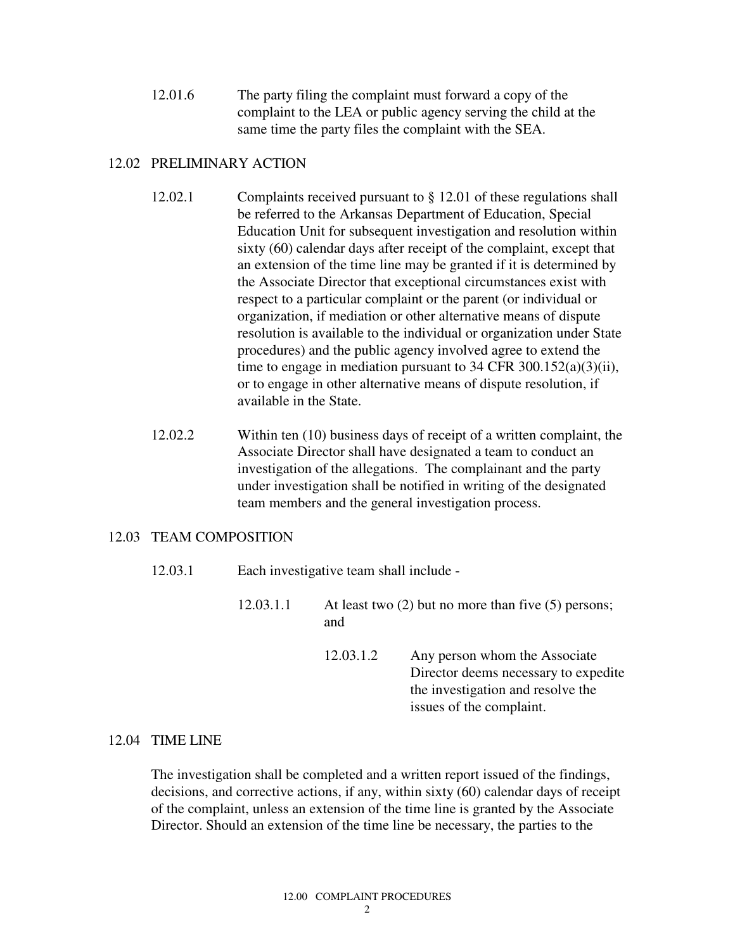12.01.6 The party filing the complaint must forward a copy of the complaint to the LEA or public agency serving the child at the same time the party files the complaint with the SEA.

## 12.02 PRELIMINARY ACTION

- 12.02.1 Complaints received pursuant to § 12.01 of these regulations shall be referred to the Arkansas Department of Education, Special Education Unit for subsequent investigation and resolution within sixty (60) calendar days after receipt of the complaint, except that an extension of the time line may be granted if it is determined by the Associate Director that exceptional circumstances exist with respect to a particular complaint or the parent (or individual or organization, if mediation or other alternative means of dispute resolution is available to the individual or organization under State procedures) and the public agency involved agree to extend the time to engage in mediation pursuant to 34 CFR 300.152(a)(3)(ii), or to engage in other alternative means of dispute resolution, if available in the State.
- 12.02.2 Within ten (10) business days of receipt of a written complaint, the Associate Director shall have designated a team to conduct an investigation of the allegations. The complainant and the party under investigation shall be notified in writing of the designated team members and the general investigation process.

# 12.03 TEAM COMPOSITION

- 12.03.1 Each investigative team shall include -
- 12.03.1.1 At least two (2) but no more than five (5) persons; and
	- 12.03.1.2 Any person whom the Associate Director deems necessary to expedite the investigation and resolve the issues of the complaint.

### 12.04 TIME LINE

The investigation shall be completed and a written report issued of the findings, decisions, and corrective actions, if any, within sixty (60) calendar days of receipt of the complaint, unless an extension of the time line is granted by the Associate Director. Should an extension of the time line be necessary, the parties to the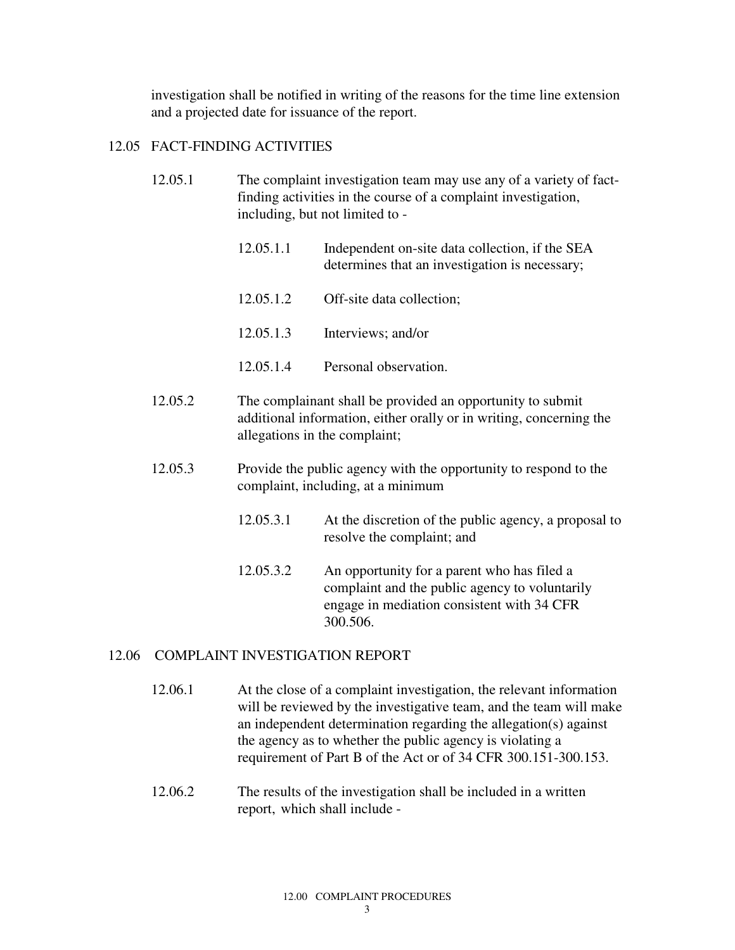investigation shall be notified in writing of the reasons for the time line extension and a projected date for issuance of the report.

#### 12.05 FACT-FINDING ACTIVITIES

- 12.05.1 The complaint investigation team may use any of a variety of fact finding activities in the course of a complaint investigation, including, but not limited to -
	- 12.05.1.1 Independent on-site data collection, if the SEA determines that an investigation is necessary;
	- 12.05.1.2 Off-site data collection;
	- 12.05.1.3 Interviews; and/or
	- 12.05.1.4 Personal observation.
- 12.05.2 The complainant shall be provided an opportunity to submit additional information, either orally or in writing, concerning the allegations in the complaint;
- 12.05.3 Provide the public agency with the opportunity to respond to the complaint, including, at a minimum
	- 12.05.3.1 At the discretion of the public agency, a proposal to resolve the complaint; and
	- 12.05.3.2 An opportunity for a parent who has filed a complaint and the public agency to voluntarily engage in mediation consistent with 34 CFR 300.506.

#### 12.06 COMPLAINT INVESTIGATION REPORT

- 12.06.1 At the close of a complaint investigation, the relevant information will be reviewed by the investigative team, and the team will make an independent determination regarding the allegation(s) against the agency as to whether the public agency is violating a requirement of Part B of the Act or of 34 CFR 300.151-300.153.
- 12.06.2 The results of the investigation shall be included in a written report, which shall include -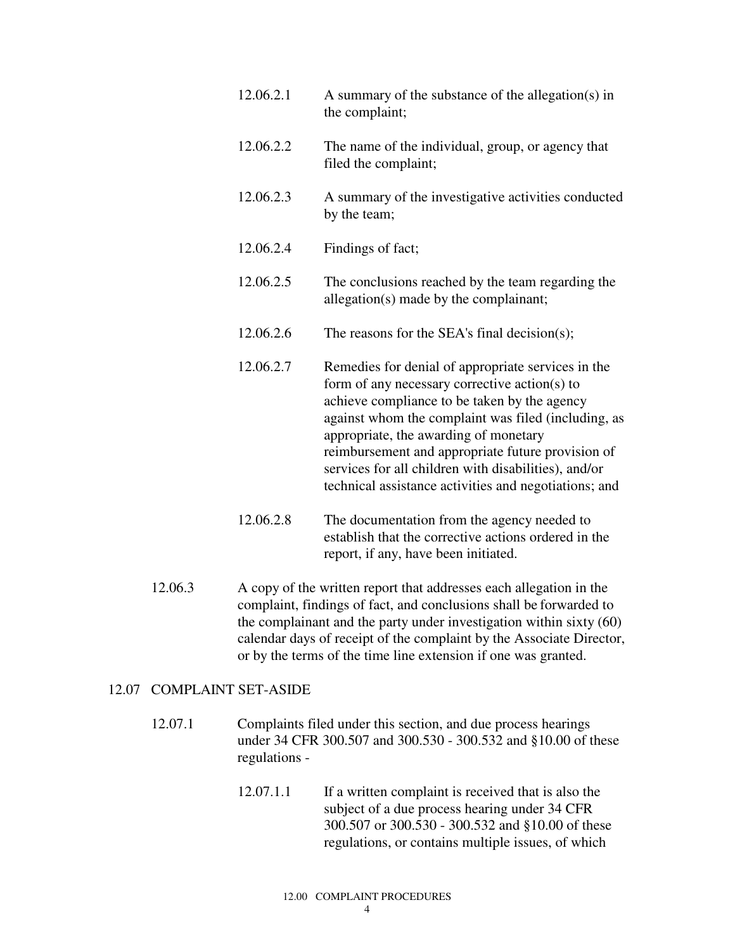| 12.06.2.1 | A summary of the substance of the allegation(s) in<br>the complaint;                                                                                                                                                                                                                                                                                                                                                      |  |
|-----------|---------------------------------------------------------------------------------------------------------------------------------------------------------------------------------------------------------------------------------------------------------------------------------------------------------------------------------------------------------------------------------------------------------------------------|--|
| 12.06.2.2 | The name of the individual, group, or agency that<br>filed the complaint;                                                                                                                                                                                                                                                                                                                                                 |  |
| 12.06.2.3 | A summary of the investigative activities conducted<br>by the team;                                                                                                                                                                                                                                                                                                                                                       |  |
| 12.06.2.4 | Findings of fact;                                                                                                                                                                                                                                                                                                                                                                                                         |  |
| 12.06.2.5 | The conclusions reached by the team regarding the<br>allegation(s) made by the complainant;                                                                                                                                                                                                                                                                                                                               |  |
| 12.06.2.6 | The reasons for the SEA's final decision(s);                                                                                                                                                                                                                                                                                                                                                                              |  |
| 12.06.2.7 | Remedies for denial of appropriate services in the<br>form of any necessary corrective action(s) to<br>achieve compliance to be taken by the agency<br>against whom the complaint was filed (including, as<br>appropriate, the awarding of monetary<br>reimbursement and appropriate future provision of<br>services for all children with disabilities), and/or<br>technical assistance activities and negotiations; and |  |
| 12.06.2.8 | The documentation from the agency needed to<br>establish that the corrective actions ordered in the                                                                                                                                                                                                                                                                                                                       |  |

12.06.3 A copy of the written report that addresses each allegation in the complaint, findings of fact, and conclusions shall be forwarded to the complainant and the party under investigation within sixty (60) calendar days of receipt of the complaint by the Associate Director, or by the terms of the time line extension if one was granted.

report, if any, have been initiated.

### 12.07 COMPLAINT SET-ASIDE

- 12.07.1 Complaints filed under this section, and due process hearings under 34 CFR 300.507 and 300.530 - 300.532 and §10.00 of these regulations -
	- 12.07.1.1 If a written complaint is received that is also the subject of a due process hearing under 34 CFR 300.507 or 300.530 - 300.532 and §10.00 of these regulations, or contains multiple issues, of which